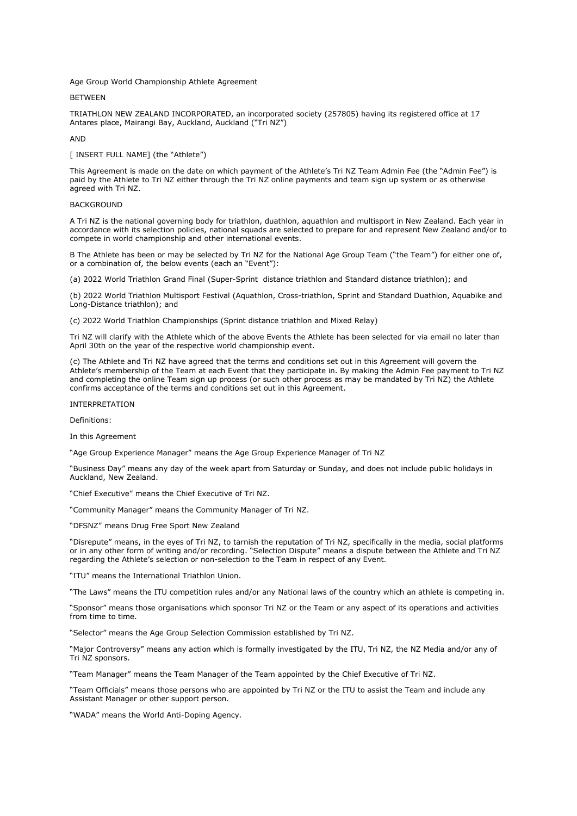Age Group World Championship Athlete Agreement

**BETWEEN** 

TRIATHLON NEW ZEALAND INCORPORATED, an incorporated society (257805) having its registered office at 17 Antares place, Mairangi Bay, Auckland, Auckland ("Tri NZ")

AND

[ INSERT FULL NAME] (the "Athlete")

This Agreement is made on the date on which payment of the Athlete's Tri NZ Team Admin Fee (the "Admin Fee") is paid by the Athlete to Tri NZ either through the Tri NZ online payments and team sign up system or as otherwise agreed with Tri NZ.

# BACKGROUND

A Tri NZ is the national governing body for triathlon, duathlon, aquathlon and multisport in New Zealand. Each year in accordance with its selection policies, national squads are selected to prepare for and represent New Zealand and/or to compete in world championship and other international events.

B The Athlete has been or may be selected by Tri NZ for the National Age Group Team ("the Team") for either one of, or a combination of, the below events (each an "Event"):

(a) 2022 World Triathlon Grand Final (Super-Sprint distance triathlon and Standard distance triathlon); and

(b) 2022 World Triathlon Multisport Festival (Aquathlon, Cross-triathlon, Sprint and Standard Duathlon, Aquabike and Long-Distance triathlon); and

(c) 2022 World Triathlon Championships (Sprint distance triathlon and Mixed Relay)

Tri NZ will clarify with the Athlete which of the above Events the Athlete has been selected for via email no later than April 30th on the year of the respective world championship event.

(c) The Athlete and Tri NZ have agreed that the terms and conditions set out in this Agreement will govern the Athlete's membership of the Team at each Event that they participate in. By making the Admin Fee payment to Tri NZ and completing the online Team sign up process (or such other process as may be mandated by Tri NZ) the Athlete confirms acceptance of the terms and conditions set out in this Agreement.

#### INTERPRETATION

Definitions:

In this Agreement

"Age Group Experience Manager" means the Age Group Experience Manager of Tri NZ

"Business Day" means any day of the week apart from Saturday or Sunday, and does not include public holidays in Auckland, New Zealand.

"Chief Executive" means the Chief Executive of Tri NZ.

"Community Manager" means the Community Manager of Tri NZ.

"DFSNZ" means Drug Free Sport New Zealand

"Disrepute" means, in the eyes of Tri NZ, to tarnish the reputation of Tri NZ, specifically in the media, social platforms or in any other form of writing and/or recording. "Selection Dispute" means a dispute between the Athlete and Tri NZ regarding the Athlete's selection or non-selection to the Team in respect of any Event.

"ITU" means the International Triathlon Union.

"The Laws" means the ITU competition rules and/or any National laws of the country which an athlete is competing in.

"Sponsor" means those organisations which sponsor Tri NZ or the Team or any aspect of its operations and activities from time to time.

"Selector" means the Age Group Selection Commission established by Tri NZ.

"Major Controversy" means any action which is formally investigated by the ITU, Tri NZ, the NZ Media and/or any of Tri NZ sponsors.

"Team Manager" means the Team Manager of the Team appointed by the Chief Executive of Tri NZ.

"Team Officials" means those persons who are appointed by Tri NZ or the ITU to assist the Team and include any Assistant Manager or other support person.

"WADA" means the World Anti-Doping Agency.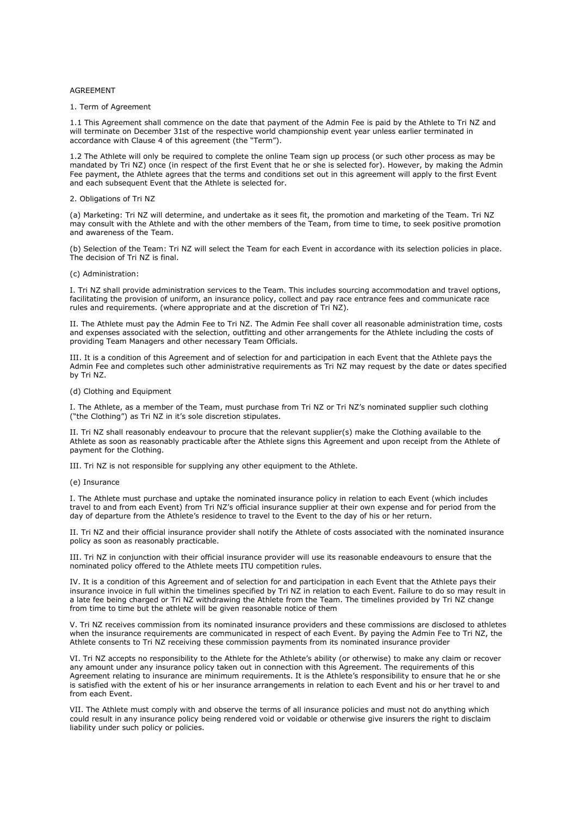## **AGREEMENT**

## 1. Term of Agreement

1.1 This Agreement shall commence on the date that payment of the Admin Fee is paid by the Athlete to Tri NZ and will terminate on December 31st of the respective world championship event year unless earlier terminated in accordance with Clause 4 of this agreement (the "Term").

1.2 The Athlete will only be required to complete the online Team sign up process (or such other process as may be mandated by Tri NZ) once (in respect of the first Event that he or she is selected for). However, by making the Admin Fee payment, the Athlete agrees that the terms and conditions set out in this agreement will apply to the first Event and each subsequent Event that the Athlete is selected for.

## 2. Obligations of Tri NZ

(a) Marketing: Tri NZ will determine, and undertake as it sees fit, the promotion and marketing of the Team. Tri NZ may consult with the Athlete and with the other members of the Team, from time to time, to seek positive promotion and awareness of the Team.

(b) Selection of the Team: Tri NZ will select the Team for each Event in accordance with its selection policies in place. The decision of Tri NZ is final.

# (c) Administration:

I. Tri NZ shall provide administration services to the Team. This includes sourcing accommodation and travel options, facilitating the provision of uniform, an insurance policy, collect and pay race entrance fees and communicate race rules and requirements. (where appropriate and at the discretion of Tri NZ).

II. The Athlete must pay the Admin Fee to Tri NZ. The Admin Fee shall cover all reasonable administration time, costs and expenses associated with the selection, outfitting and other arrangements for the Athlete including the costs of providing Team Managers and other necessary Team Officials.

III. It is a condition of this Agreement and of selection for and participation in each Event that the Athlete pays the Admin Fee and completes such other administrative requirements as Tri NZ may request by the date or dates specified by Tri NZ.

### (d) Clothing and Equipment

I. The Athlete, as a member of the Team, must purchase from Tri NZ or Tri NZ's nominated supplier such clothing ("the Clothing") as Tri NZ in it's sole discretion stipulates.

II. Tri NZ shall reasonably endeavour to procure that the relevant supplier(s) make the Clothing available to the Athlete as soon as reasonably practicable after the Athlete signs this Agreement and upon receipt from the Athlete of payment for the Clothing.

III. Tri NZ is not responsible for supplying any other equipment to the Athlete.

## (e) Insurance

I. The Athlete must purchase and uptake the nominated insurance policy in relation to each Event (which includes travel to and from each Event) from Tri NZ's official insurance supplier at their own expense and for period from the day of departure from the Athlete's residence to travel to the Event to the day of his or her return.

II. Tri NZ and their official insurance provider shall notify the Athlete of costs associated with the nominated insurance policy as soon as reasonably practicable.

III. Tri NZ in conjunction with their official insurance provider will use its reasonable endeavours to ensure that the nominated policy offered to the Athlete meets ITU competition rules.

IV. It is a condition of this Agreement and of selection for and participation in each Event that the Athlete pays their insurance invoice in full within the timelines specified by Tri NZ in relation to each Event. Failure to do so may result in a late fee being charged or Tri NZ withdrawing the Athlete from the Team. The timelines provided by Tri NZ change from time to time but the athlete will be given reasonable notice of them

V. Tri NZ receives commission from its nominated insurance providers and these commissions are disclosed to athletes when the insurance requirements are communicated in respect of each Event. By paying the Admin Fee to Tri NZ, the Athlete consents to Tri NZ receiving these commission payments from its nominated insurance provider

VI. Tri NZ accepts no responsibility to the Athlete for the Athlete's ability (or otherwise) to make any claim or recover any amount under any insurance policy taken out in connection with this Agreement. The requirements of this Agreement relating to insurance are minimum requirements. It is the Athlete's responsibility to ensure that he or she is satisfied with the extent of his or her insurance arrangements in relation to each Event and his or her travel to and from each Event.

VII. The Athlete must comply with and observe the terms of all insurance policies and must not do anything which could result in any insurance policy being rendered void or voidable or otherwise give insurers the right to disclaim liability under such policy or policies.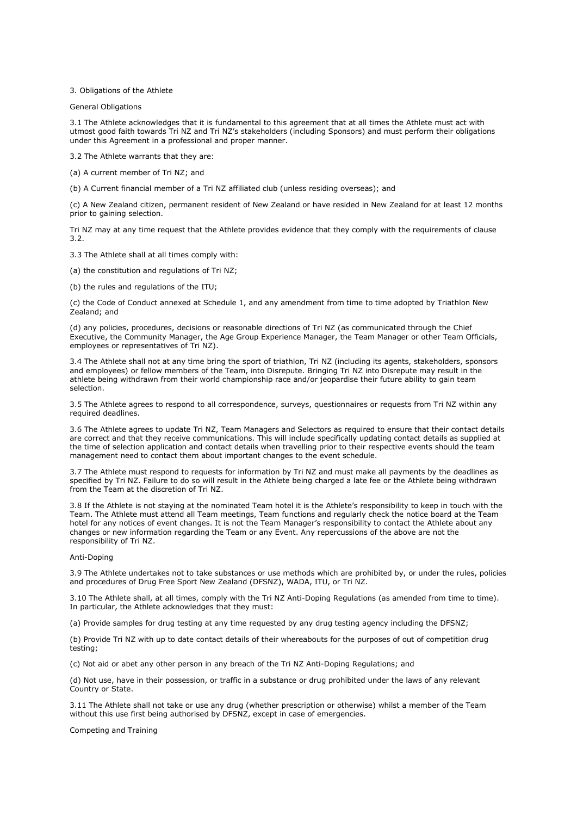3. Obligations of the Athlete

General Obligations

3.1 The Athlete acknowledges that it is fundamental to this agreement that at all times the Athlete must act with utmost good faith towards Tri NZ and Tri NZ's stakeholders (including Sponsors) and must perform their obligations under this Agreement in a professional and proper manner.

3.2 The Athlete warrants that they are:

(a) A current member of Tri NZ; and

(b) A Current financial member of a Tri NZ affiliated club (unless residing overseas); and

(c) A New Zealand citizen, permanent resident of New Zealand or have resided in New Zealand for at least 12 months prior to gaining selection.

Tri NZ may at any time request that the Athlete provides evidence that they comply with the requirements of clause 3.2.

3.3 The Athlete shall at all times comply with:

(a) the constitution and regulations of Tri NZ;

(b) the rules and regulations of the ITU;

(c) the Code of Conduct annexed at Schedule 1, and any amendment from time to time adopted by Triathlon New Zealand; and

(d) any policies, procedures, decisions or reasonable directions of Tri NZ (as communicated through the Chief Executive, the Community Manager, the Age Group Experience Manager, the Team Manager or other Team Officials, employees or representatives of Tri NZ).

3.4 The Athlete shall not at any time bring the sport of triathlon, Tri NZ (including its agents, stakeholders, sponsors and employees) or fellow members of the Team, into Disrepute. Bringing Tri NZ into Disrepute may result in the athlete being withdrawn from their world championship race and/or jeopardise their future ability to gain team selection.

3.5 The Athlete agrees to respond to all correspondence, surveys, questionnaires or requests from Tri NZ within any required deadlines.

3.6 The Athlete agrees to update Tri NZ, Team Managers and Selectors as required to ensure that their contact details are correct and that they receive communications. This will include specifically updating contact details as supplied at the time of selection application and contact details when travelling prior to their respective events should the team management need to contact them about important changes to the event schedule.

3.7 The Athlete must respond to requests for information by Tri NZ and must make all payments by the deadlines as specified by Tri NZ. Failure to do so will result in the Athlete being charged a late fee or the Athlete being withdrawn from the Team at the discretion of Tri NZ.

3.8 If the Athlete is not staying at the nominated Team hotel it is the Athlete's responsibility to keep in touch with the Team. The Athlete must attend all Team meetings, Team functions and regularly check the notice board at the Team hotel for any notices of event changes. It is not the Team Manager's responsibility to contact the Athlete about any changes or new information regarding the Team or any Event. Any repercussions of the above are not the responsibility of Tri NZ.

### Anti-Doping

3.9 The Athlete undertakes not to take substances or use methods which are prohibited by, or under the rules, policies and procedures of Drug Free Sport New Zealand (DFSNZ), WADA, ITU, or Tri NZ.

3.10 The Athlete shall, at all times, comply with the Tri NZ Anti-Doping Regulations (as amended from time to time). In particular, the Athlete acknowledges that they must:

(a) Provide samples for drug testing at any time requested by any drug testing agency including the DFSNZ;

(b) Provide Tri NZ with up to date contact details of their whereabouts for the purposes of out of competition drug testing;

(c) Not aid or abet any other person in any breach of the Tri NZ Anti-Doping Regulations; and

(d) Not use, have in their possession, or traffic in a substance or drug prohibited under the laws of any relevant Country or State.

3.11 The Athlete shall not take or use any drug (whether prescription or otherwise) whilst a member of the Team without this use first being authorised by DFSNZ, except in case of emergencies.

Competing and Training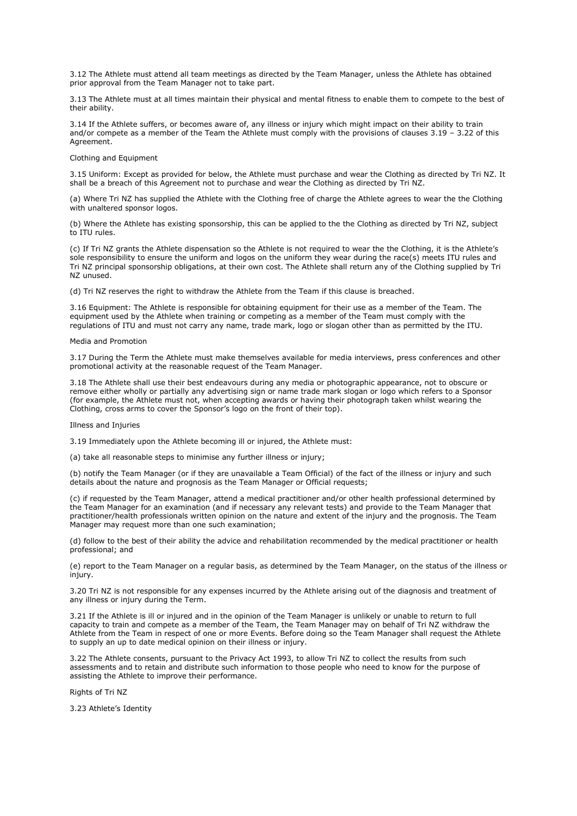3.12 The Athlete must attend all team meetings as directed by the Team Manager, unless the Athlete has obtained prior approval from the Team Manager not to take part.

3.13 The Athlete must at all times maintain their physical and mental fitness to enable them to compete to the best of their ability.

3.14 If the Athlete suffers, or becomes aware of, any illness or injury which might impact on their ability to train and/or compete as a member of the Team the Athlete must comply with the provisions of clauses 3.19 – 3.22 of this Agreement.

# Clothing and Equipment

3.15 Uniform: Except as provided for below, the Athlete must purchase and wear the Clothing as directed by Tri NZ. It shall be a breach of this Agreement not to purchase and wear the Clothing as directed by Tri NZ.

(a) Where Tri NZ has supplied the Athlete with the Clothing free of charge the Athlete agrees to wear the the Clothing with unaltered sponsor logos.

(b) Where the Athlete has existing sponsorship, this can be applied to the the Clothing as directed by Tri NZ, subject to ITU rules.

(c) If Tri NZ grants the Athlete dispensation so the Athlete is not required to wear the the Clothing, it is the Athlete's sole responsibility to ensure the uniform and logos on the uniform they wear during the race(s) meets ITU rules and Tri NZ principal sponsorship obligations, at their own cost. The Athlete shall return any of the Clothing supplied by Tri NZ unused.

(d) Tri NZ reserves the right to withdraw the Athlete from the Team if this clause is breached.

3.16 Equipment: The Athlete is responsible for obtaining equipment for their use as a member of the Team. The equipment used by the Athlete when training or competing as a member of the Team must comply with the regulations of ITU and must not carry any name, trade mark, logo or slogan other than as permitted by the ITU.

### Media and Promotion

3.17 During the Term the Athlete must make themselves available for media interviews, press conferences and other promotional activity at the reasonable request of the Team Manager.

3.18 The Athlete shall use their best endeavours during any media or photographic appearance, not to obscure or remove either wholly or partially any advertising sign or name trade mark slogan or logo which refers to a Sponsor (for example, the Athlete must not, when accepting awards or having their photograph taken whilst wearing the Clothing, cross arms to cover the Sponsor's logo on the front of their top).

### Illness and Injuries

3.19 Immediately upon the Athlete becoming ill or injured, the Athlete must:

(a) take all reasonable steps to minimise any further illness or injury;

(b) notify the Team Manager (or if they are unavailable a Team Official) of the fact of the illness or injury and such details about the nature and prognosis as the Team Manager or Official requests;

(c) if requested by the Team Manager, attend a medical practitioner and/or other health professional determined by the Team Manager for an examination (and if necessary any relevant tests) and provide to the Team Manager that practitioner/health professionals written opinion on the nature and extent of the injury and the prognosis. The Team Manager may request more than one such examination;

(d) follow to the best of their ability the advice and rehabilitation recommended by the medical practitioner or health professional; and

(e) report to the Team Manager on a regular basis, as determined by the Team Manager, on the status of the illness or injury.

3.20 Tri NZ is not responsible for any expenses incurred by the Athlete arising out of the diagnosis and treatment of any illness or injury during the Term.

3.21 If the Athlete is ill or injured and in the opinion of the Team Manager is unlikely or unable to return to full capacity to train and compete as a member of the Team, the Team Manager may on behalf of Tri NZ withdraw the Athlete from the Team in respect of one or more Events. Before doing so the Team Manager shall request the Athlete to supply an up to date medical opinion on their illness or injury.

3.22 The Athlete consents, pursuant to the Privacy Act 1993, to allow Tri NZ to collect the results from such assessments and to retain and distribute such information to those people who need to know for the purpose of assisting the Athlete to improve their performance.

Rights of Tri NZ

3.23 Athlete's Identity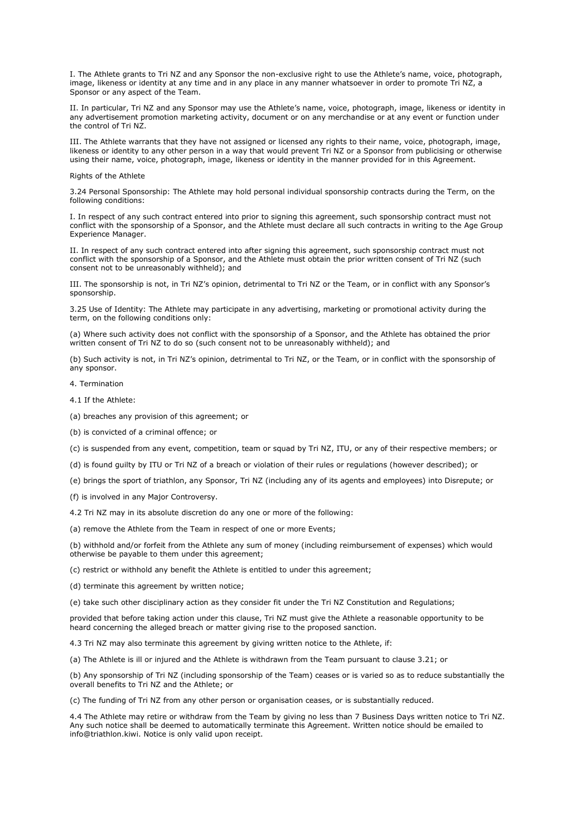I. The Athlete grants to Tri NZ and any Sponsor the non-exclusive right to use the Athlete's name, voice, photograph, image, likeness or identity at any time and in any place in any manner whatsoever in order to promote Tri NZ, a Sponsor or any aspect of the Team.

II. In particular, Tri NZ and any Sponsor may use the Athlete's name, voice, photograph, image, likeness or identity in any advertisement promotion marketing activity, document or on any merchandise or at any event or function under the control of Tri NZ.

III. The Athlete warrants that they have not assigned or licensed any rights to their name, voice, photograph, image, likeness or identity to any other person in a way that would prevent Tri NZ or a Sponsor from publicising or otherwise using their name, voice, photograph, image, likeness or identity in the manner provided for in this Agreement.

#### Rights of the Athlete

3.24 Personal Sponsorship: The Athlete may hold personal individual sponsorship contracts during the Term, on the following conditions:

I. In respect of any such contract entered into prior to signing this agreement, such sponsorship contract must not conflict with the sponsorship of a Sponsor, and the Athlete must declare all such contracts in writing to the Age Group Experience Manager.

II. In respect of any such contract entered into after signing this agreement, such sponsorship contract must not conflict with the sponsorship of a Sponsor, and the Athlete must obtain the prior written consent of Tri NZ (such consent not to be unreasonably withheld); and

III. The sponsorship is not, in Tri NZ's opinion, detrimental to Tri NZ or the Team, or in conflict with any Sponsor's sponsorship.

3.25 Use of Identity: The Athlete may participate in any advertising, marketing or promotional activity during the term, on the following conditions only:

(a) Where such activity does not conflict with the sponsorship of a Sponsor, and the Athlete has obtained the prior written consent of Tri NZ to do so (such consent not to be unreasonably withheld); and

(b) Such activity is not, in Tri NZ's opinion, detrimental to Tri NZ, or the Team, or in conflict with the sponsorship of any sponsor.

- 4. Termination
- 4.1 If the Athlete:
- (a) breaches any provision of this agreement; or
- (b) is convicted of a criminal offence; or

(c) is suspended from any event, competition, team or squad by Tri NZ, ITU, or any of their respective members; or

- (d) is found guilty by ITU or Tri NZ of a breach or violation of their rules or regulations (however described); or
- (e) brings the sport of triathlon, any Sponsor, Tri NZ (including any of its agents and employees) into Disrepute; or
- (f) is involved in any Major Controversy.

4.2 Tri NZ may in its absolute discretion do any one or more of the following:

(a) remove the Athlete from the Team in respect of one or more Events;

(b) withhold and/or forfeit from the Athlete any sum of money (including reimbursement of expenses) which would otherwise be payable to them under this agreement;

(c) restrict or withhold any benefit the Athlete is entitled to under this agreement;

(d) terminate this agreement by written notice;

(e) take such other disciplinary action as they consider fit under the Tri NZ Constitution and Regulations;

provided that before taking action under this clause, Tri NZ must give the Athlete a reasonable opportunity to be heard concerning the alleged breach or matter giving rise to the proposed sanction.

4.3 Tri NZ may also terminate this agreement by giving written notice to the Athlete, if:

(a) The Athlete is ill or injured and the Athlete is withdrawn from the Team pursuant to clause 3.21; or

(b) Any sponsorship of Tri NZ (including sponsorship of the Team) ceases or is varied so as to reduce substantially the overall benefits to Tri NZ and the Athlete; or

(c) The funding of Tri NZ from any other person or organisation ceases, or is substantially reduced.

4.4 The Athlete may retire or withdraw from the Team by giving no less than 7 Business Days written notice to Tri NZ. Any such notice shall be deemed to automatically terminate this Agreement. Written notice should be emailed to info@triathlon.kiwi. Notice is only valid upon receipt.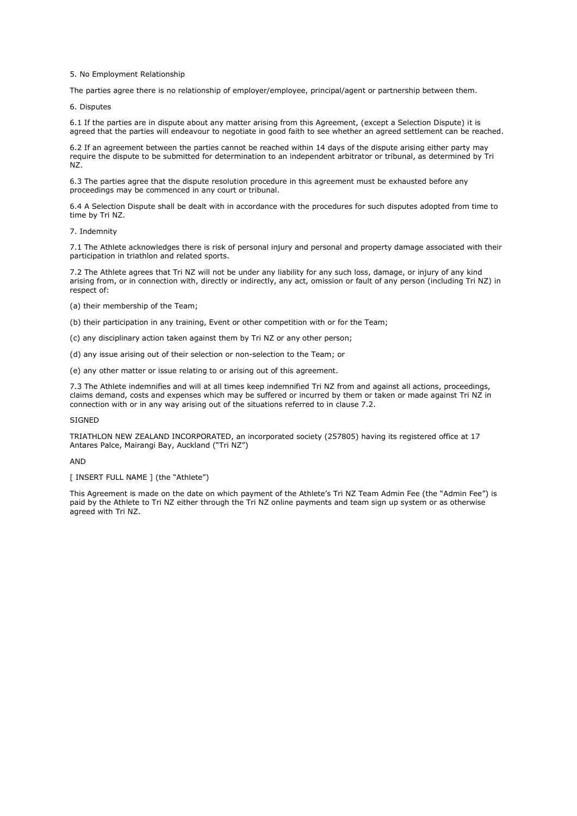5. No Employment Relationship

The parties agree there is no relationship of employer/employee, principal/agent or partnership between them.

6. Disputes

6.1 If the parties are in dispute about any matter arising from this Agreement, (except a Selection Dispute) it is agreed that the parties will endeavour to negotiate in good faith to see whether an agreed settlement can be reached.

6.2 If an agreement between the parties cannot be reached within 14 days of the dispute arising either party may require the dispute to be submitted for determination to an independent arbitrator or tribunal, as determined by Tri NZ.

6.3 The parties agree that the dispute resolution procedure in this agreement must be exhausted before any proceedings may be commenced in any court or tribunal.

6.4 A Selection Dispute shall be dealt with in accordance with the procedures for such disputes adopted from time to time by Tri NZ.

7. Indemnity

7.1 The Athlete acknowledges there is risk of personal injury and personal and property damage associated with their participation in triathlon and related sports.

7.2 The Athlete agrees that Tri NZ will not be under any liability for any such loss, damage, or injury of any kind arising from, or in connection with, directly or indirectly, any act, omission or fault of any person (including Tri NZ) in respect of:

- (a) their membership of the Team;
- (b) their participation in any training, Event or other competition with or for the Team;

(c) any disciplinary action taken against them by Tri NZ or any other person;

(d) any issue arising out of their selection or non-selection to the Team; or

(e) any other matter or issue relating to or arising out of this agreement.

7.3 The Athlete indemnifies and will at all times keep indemnified Tri NZ from and against all actions, proceedings, claims demand, costs and expenses which may be suffered or incurred by them or taken or made against Tri NZ in connection with or in any way arising out of the situations referred to in clause 7.2.

# **SIGNED**

TRIATHLON NEW ZEALAND INCORPORATED, an incorporated society (257805) having its registered office at 17 Antares Palce, Mairangi Bay, Auckland ("Tri NZ")

## AND

[ INSERT FULL NAME ] (the "Athlete")

This Agreement is made on the date on which payment of the Athlete's Tri NZ Team Admin Fee (the "Admin Fee") is paid by the Athlete to Tri NZ either through the Tri NZ online payments and team sign up system or as otherwise agreed with Tri NZ.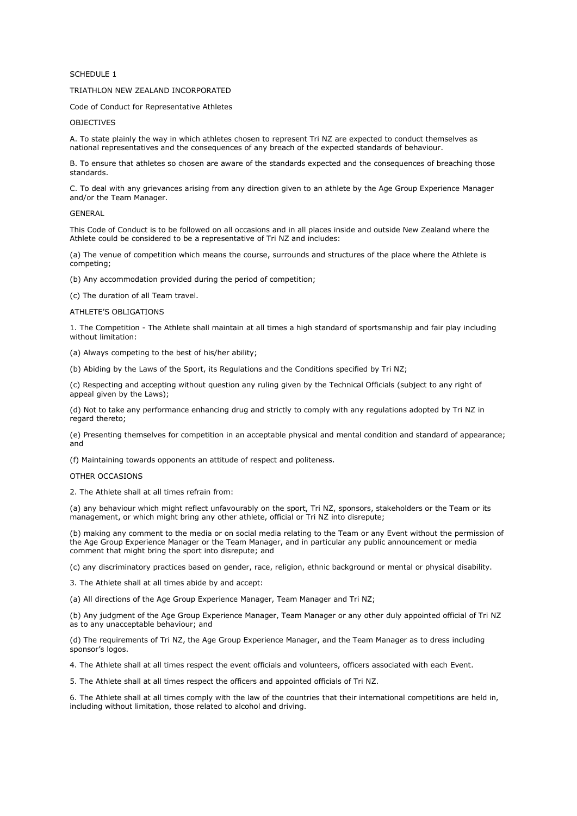# SCHEDULE 1

# TRIATHLON NEW ZEALAND INCORPORATED

Code of Conduct for Representative Athletes

# OBJECTIVES

A. To state plainly the way in which athletes chosen to represent Tri NZ are expected to conduct themselves as national representatives and the consequences of any breach of the expected standards of behaviour.

B. To ensure that athletes so chosen are aware of the standards expected and the consequences of breaching those standards.

C. To deal with any grievances arising from any direction given to an athlete by the Age Group Experience Manager and/or the Team Manager.

#### GENERAL

This Code of Conduct is to be followed on all occasions and in all places inside and outside New Zealand where the Athlete could be considered to be a representative of Tri NZ and includes:

(a) The venue of competition which means the course, surrounds and structures of the place where the Athlete is competing;

(b) Any accommodation provided during the period of competition;

(c) The duration of all Team travel.

### ATHLETE'S OBLIGATIONS

1. The Competition - The Athlete shall maintain at all times a high standard of sportsmanship and fair play including without limitation:

(a) Always competing to the best of his/her ability;

(b) Abiding by the Laws of the Sport, its Regulations and the Conditions specified by Tri NZ;

(c) Respecting and accepting without question any ruling given by the Technical Officials (subject to any right of appeal given by the Laws);

(d) Not to take any performance enhancing drug and strictly to comply with any regulations adopted by Tri NZ in regard thereto;

(e) Presenting themselves for competition in an acceptable physical and mental condition and standard of appearance; and

(f) Maintaining towards opponents an attitude of respect and politeness.

# OTHER OCCASIONS

2. The Athlete shall at all times refrain from:

(a) any behaviour which might reflect unfavourably on the sport, Tri NZ, sponsors, stakeholders or the Team or its management, or which might bring any other athlete, official or Tri NZ into disrepute;

(b) making any comment to the media or on social media relating to the Team or any Event without the permission of the Age Group Experience Manager or the Team Manager, and in particular any public announcement or media comment that might bring the sport into disrepute; and

(c) any discriminatory practices based on gender, race, religion, ethnic background or mental or physical disability.

3. The Athlete shall at all times abide by and accept:

(a) All directions of the Age Group Experience Manager, Team Manager and Tri NZ;

(b) Any judgment of the Age Group Experience Manager, Team Manager or any other duly appointed official of Tri NZ as to any unacceptable behaviour; and

(d) The requirements of Tri NZ, the Age Group Experience Manager, and the Team Manager as to dress including sponsor's logos.

4. The Athlete shall at all times respect the event officials and volunteers, officers associated with each Event.

5. The Athlete shall at all times respect the officers and appointed officials of Tri NZ.

6. The Athlete shall at all times comply with the law of the countries that their international competitions are held in, including without limitation, those related to alcohol and driving.